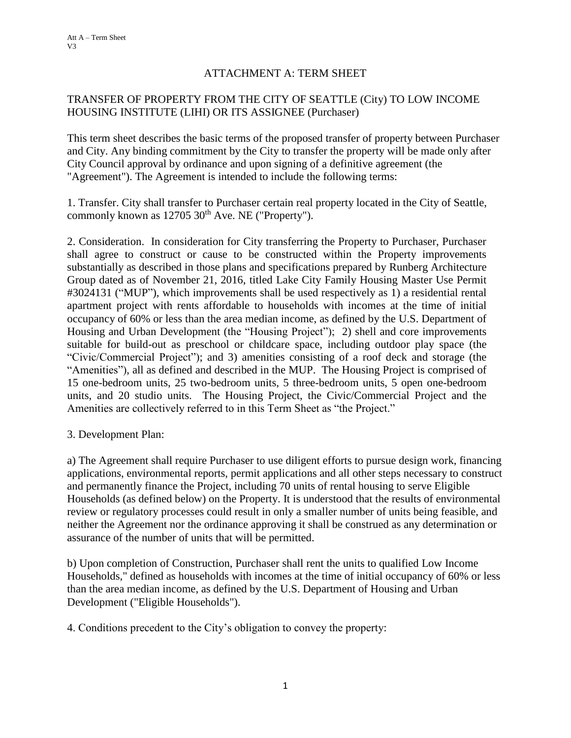## ATTACHMENT A: TERM SHEET

## TRANSFER OF PROPERTY FROM THE CITY OF SEATTLE (City) TO LOW INCOME HOUSING INSTITUTE (LIHI) OR ITS ASSIGNEE (Purchaser)

This term sheet describes the basic terms of the proposed transfer of property between Purchaser and City. Any binding commitment by the City to transfer the property will be made only after City Council approval by ordinance and upon signing of a definitive agreement (the "Agreement"). The Agreement is intended to include the following terms:

1. Transfer. City shall transfer to Purchaser certain real property located in the City of Seattle, commonly known as  $12705 \, 30$ <sup>th</sup> Ave. NE ("Property").

2. Consideration. In consideration for City transferring the Property to Purchaser, Purchaser shall agree to construct or cause to be constructed within the Property improvements substantially as described in those plans and specifications prepared by Runberg Architecture Group dated as of November 21, 2016, titled Lake City Family Housing Master Use Permit #3024131 ("MUP"), which improvements shall be used respectively as 1) a residential rental apartment project with rents affordable to households with incomes at the time of initial occupancy of 60% or less than the area median income, as defined by the U.S. Department of Housing and Urban Development (the "Housing Project"); 2) shell and core improvements suitable for build-out as preschool or childcare space, including outdoor play space (the "Civic/Commercial Project"); and 3) amenities consisting of a roof deck and storage (the "Amenities"), all as defined and described in the MUP. The Housing Project is comprised of 15 one-bedroom units, 25 two-bedroom units, 5 three-bedroom units, 5 open one-bedroom units, and 20 studio units. The Housing Project, the Civic/Commercial Project and the Amenities are collectively referred to in this Term Sheet as "the Project."

3. Development Plan:

a) The Agreement shall require Purchaser to use diligent efforts to pursue design work, financing applications, environmental reports, permit applications and all other steps necessary to construct and permanently finance the Project, including 70 units of rental housing to serve Eligible Households (as defined below) on the Property. It is understood that the results of environmental review or regulatory processes could result in only a smaller number of units being feasible, and neither the Agreement nor the ordinance approving it shall be construed as any determination or assurance of the number of units that will be permitted.

b) Upon completion of Construction, Purchaser shall rent the units to qualified Low Income Households," defined as households with incomes at the time of initial occupancy of 60% or less than the area median income, as defined by the U.S. Department of Housing and Urban Development ("Eligible Households").

4. Conditions precedent to the City's obligation to convey the property: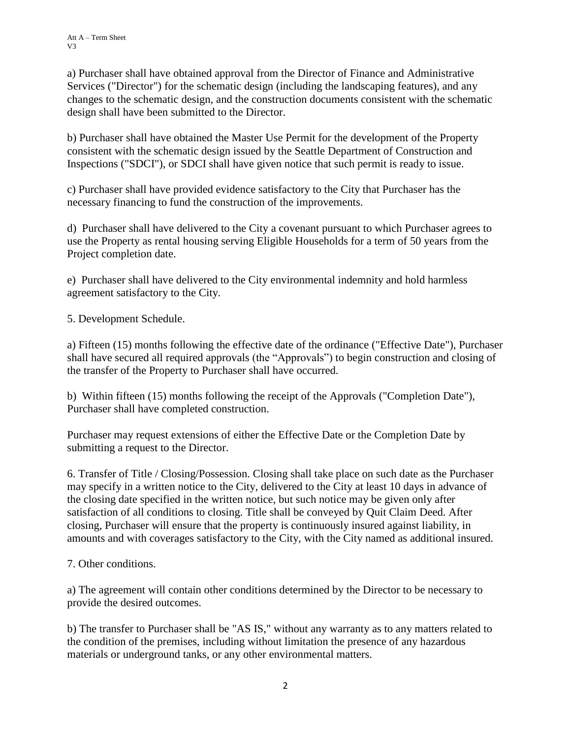a) Purchaser shall have obtained approval from the Director of Finance and Administrative Services ("Director") for the schematic design (including the landscaping features), and any changes to the schematic design, and the construction documents consistent with the schematic design shall have been submitted to the Director.

b) Purchaser shall have obtained the Master Use Permit for the development of the Property consistent with the schematic design issued by the Seattle Department of Construction and Inspections ("SDCI"), or SDCI shall have given notice that such permit is ready to issue.

c) Purchaser shall have provided evidence satisfactory to the City that Purchaser has the necessary financing to fund the construction of the improvements.

d) Purchaser shall have delivered to the City a covenant pursuant to which Purchaser agrees to use the Property as rental housing serving Eligible Households for a term of 50 years from the Project completion date.

e) Purchaser shall have delivered to the City environmental indemnity and hold harmless agreement satisfactory to the City.

5. Development Schedule.

a) Fifteen (15) months following the effective date of the ordinance ("Effective Date"), Purchaser shall have secured all required approvals (the "Approvals") to begin construction and closing of the transfer of the Property to Purchaser shall have occurred.

b) Within fifteen (15) months following the receipt of the Approvals ("Completion Date"), Purchaser shall have completed construction.

Purchaser may request extensions of either the Effective Date or the Completion Date by submitting a request to the Director.

6. Transfer of Title / Closing/Possession. Closing shall take place on such date as the Purchaser may specify in a written notice to the City, delivered to the City at least 10 days in advance of the closing date specified in the written notice, but such notice may be given only after satisfaction of all conditions to closing. Title shall be conveyed by Quit Claim Deed. After closing, Purchaser will ensure that the property is continuously insured against liability, in amounts and with coverages satisfactory to the City, with the City named as additional insured.

7. Other conditions.

a) The agreement will contain other conditions determined by the Director to be necessary to provide the desired outcomes.

b) The transfer to Purchaser shall be "AS IS," without any warranty as to any matters related to the condition of the premises, including without limitation the presence of any hazardous materials or underground tanks, or any other environmental matters.